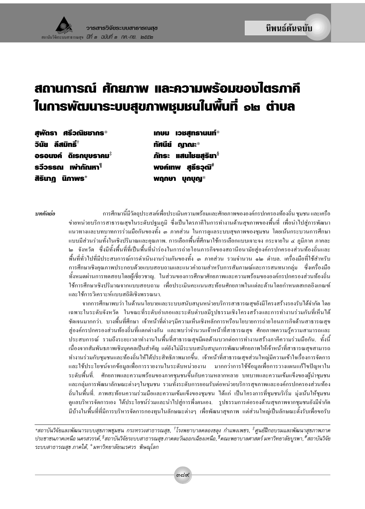# สถานการณ์ ศักยภาพ และความพร้อมของไตรภาคี ในการพัฒนาระบบสุขภาพชุมชนในพื้นที่ ๑๒ ต่าบล

สพัตรา ศรีวณิชชากร $^*$ ้วินัย ลีสมิทธิ์™ั่ อรอนงค์ ดิเรกบุษราคม $^\ddag$ รวีวรรณ เพ่ากัณหา $^\P$ สิรินาภู นิภาพร $^+$ 

**INUU IOBANS1UUN\*** ทัศนีย์ ณาณะ\* ภัทระ แสนไชยสูริยา $^{\S}$ พงค์เทพ สธีรวณ์\* พฤกษา บุกบุญ $*$ 

บทคัดย่อ

ิการศึกษานี้มีวัตถุประสงค์เพื่อประเมินความพร้อมและศักยภาพขององค์กรปกครองท้องถิ่น ชุมชน และเครือ ข่ายหน่วยบริการสาธารณสุขในระดับปฐมภูมิ ซึ่งเป็นไตรภาคีในการทำงานด้านสุขภาพของพื้นที่ เพื่อนำไปสู่การพัฒนา ี่ แนวทางและบทบาทการร่วมมือกันของทั้ง ๑ ภาคส่วน ในการดูแลระบบสุขภาพของชุมชน โดยเน้นกระบวนการศึกษา ี แบบมีส่วนร่วมทั้งในเชิงปริมาณและคุณภาพ. การเลือกพื้นที่ศึกษาใช้การเลือกแบบเจาะจง กระจายใน ๔ ภูมิภาค ภาคละ ่ ๒ จังหวัด ซึ่งมีทั้งพื้นที่ที่เป็นพื้นที่นำร่องในการถ่ายโอนภารกิจของสถานีอนามัยสู่องค์กรปกครองส่วนท้องถิ่นและ พื้นที่ทั่วไปที่มีประสบการณ์การคำเนินงานร่วมกันของทั้ง ๑ ภาคส่วน รวมจำนวน ๑๒ ตำบล. เครื่องมือที่ใช้สำหรับ ี การศึกษาเชิงคุณภาพประกอบด้วยแบบสอบถามและแนวคำถามสำหรับการสัมภาษณ์และการสนทนากลุ่ม - ซึ่งเครื่องมือ ทั้งหมดผ่านการทดสอบโดยผู้เชี่ยวชาญ. ในส่วนของการศึกษาศักยภาพและความพร้อมขององค์กรปกครองส่วนท้องถิ่น ใช้การศึกษาเชิงปริมาณจากแบบสอบถาม เพื่อประเมินคะแนนสะท้อนศักยภาพในแต่ละด้านโดยกำหนดสเกลอิงเกณฑ์ และใช้การวิเคราะห์แบบสถิติเชิงพรรณนา.

จากการศึกษาพบว่า ในด้านนโยบายและระบบสนับสนุนหน่วยบริการสาธารณสุขยังมีโครงสร้างรองรับได้จำกัด โดย ี เฉพาะในระดับจังหวัด ในขณะที่ระดับอำเภอและระดับตำบลมีรูปธรรมเชิงโครงสร้างและการทำงานร่วมกันที่เห็นได้ ชัดเจนมากกว่า. บางพื้นที่ศึกษา เจ้าหน้าที่ต่างๆมีความเห็นเชิงหลักการหรือนโยบายการถ่ายโอนภารกิจด้านสาธารณสุข สู่องค์กรปกครองส่วนท้องถิ่นที่แตกต่างกัน และพบว่าจำนวนเจ้าหน้าที่สาธารณสุข ศักยภาพความรู้ความสามารถและ ี ประสบการณ์ รวมถึงระยะเวลาทำงานในพื้นที่สาธารณสุขมีผลด้านบวกต่อการทำงานสร้างภาคีความร่วมมือกัน. ทั้งนี้ ้ เนื่องจากสัมพันธภาพเชิงบุคคลเป็นสำคัญ แต่ยังไม่มีระบบสนับสนุนการพัฒนาศักยภาพให้เจ้าหน้าที่สาธารณสุขสามารถ ้ทำงานร่วมกับชุมชนและท้องถิ่นให้ได้ประสิทธิภาพมากขึ้น. เจ้าหน้าที่สาธารณสุขส่วนใหญ่มีความเข้าใจเรื่องการจัดการ และใช้ประโยชน์จากข้อมูลเพื่อการรายงานในระดับหน่วยงาน มากกว่าการใช้ข้อมูลเพื่อการวางแผนแก้ไขปัญหาใน ี ระดับพื้นที่. ศักยภาพและความพร้อมของภาคชุมชนขึ้นกับความหลากหลาย บทบาทและความเข้มแข็งของผู้นำชุมชน และกลุ่มการพัฒนาลักษณะต่างๆในชุมชน รวมทั้งระดับการยอมรับต่อหน่วยบริการสุขภาพและองค์กรปกครองส่วนท้อง ถิ่นในพื้นที่. ภาพสะท้อนความร่วมมือและความเข้มแข็งของชุมชน ได้แก่ เป็นโครงการที่ชุมชนริเริ่ม มุ่งเน้นให้ชุมชน ดูแลบริหารจัดการเอง "ใด้ประโยชน์ร่วมและนำไปสู่การพึ่งตนเอง. รูปธรรมการต่อรองด้านสุขภาพจากชุมชนยังมีจำกัด มีบ้างในพื้นที่ที่มีการบริหารจัดการกองทุนในลักษณะต่างๆ เพื่อพัฒนาสุขภาพ แต่ส่วนใหญ่เป็นลักษณะตั้งรับเพื่อขอรับ

\*สถาบันวิจัยและพัฒนาระบบสขภาพชมชน กระทรวงสาธารณสข. <sup>†</sup>โรงพยาบาลคลองขลง กำแพงเพชร. <sup>‡</sup>ศนย์ฝึกอบรมและพัฒนาสขภาพภาค ประชาชนภาคเหนือ นครสวรรค์, <sup>§</sup>สถาบันวิจัยระบบสาธารณสุข ภาคตะวันออกเฉียงเหนือ, <sup>¶</sup>คณะพยาบาลศาสตร์ มหาวิทยาลัยบูรพา, <sup>#</sup>สถาบันวิจัย ระบบสาธารณสุข ภาคใต้, †มหาวิทยาลัยนเรศวร พิษณุโลก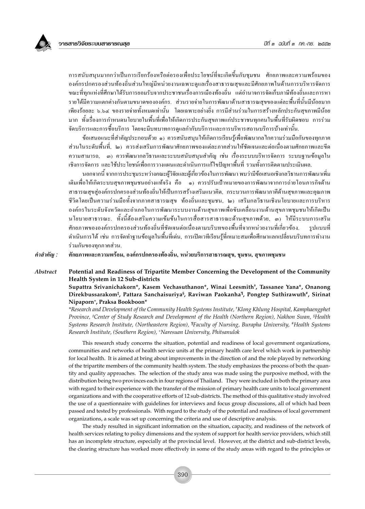

ึการสนับสนุนมากกว่าเป็นการเรียกร้องหรือต่อรองเพื่อประโยชน์ที่จะเกิดขึ้นกับชุมชน ศักยภาพและความพร้อมของ ้องค์กรปกครองส่วนท้องถิ่นส่วนใหญ่มีหน่วยงานเฉพาะดูแลเรื่องสาธารณสุขและมีศักยภาพในด้านการบริหารจัดการ ึ่งฉะที่ทุกแห่งที่ศึกษาได้รับการยอมรับจากประชาชนเรื่องการเมืองท้องถิ่น แต่อำนาจการจัดเก็บภาษีท้องถิ่นและการหา รายใด้มีความแตกต่างกันตามขนาดขององค์กร. ส่วนรายจ่ายในการพัฒนาด้านสาธารณสุขของแต่ละพื้นที่นั้นมีน้อยมาก ้เพียงร้อยละ ๖.๖๔ ของรายจ่ายทั้งหมดเท่านั้น โดยเฉพาะอย่างยิ่ง การมีส่วนร่วมในการสร้างหลักประกันสุขภาพมีน้อย มาก ทั้งเรื่องการกำหนดนโยบายในพื้นที่เพื่อให้เกิดการประกันสุขภาพแก่ประชาชนทุกคนในพื้นที่รับผิดชอบ การร่วม จัดบริการและการซื้อบริการ โดยจะมีบทบาทการดูแลกำกับบริการและการบริหารสถานบริการบ้างเท่านั้น.

ข้อเสนอแนะที่สำคัญประกอบด้วย ๑) ควรสนับสนุนให้เกิดการเรียนรู้เพื่อพัฒนากลไกความร่วมมือกันของทุกภาค ส่วนในระดับพื้นที่, ๒) ควรส่งเสริมการพัฒนาศักยภาพของแต่ละภาคส่วนให้ชัดเจนและต่อเนื่องตามศักยภาพและขีด ี ความสามารถ, ๗) ควรพัฒนากลวิธานและระบบสนับสนุนสำคัญ เช่น เรื่องระบบบริหารจัดการ ระบบฐานข้อมูลใน ้เชิงการจัดการ และใช้ประโยชน์เพื่อการวางแผนและดำเนินการแก้ไขปัญหาพื้นที่ รวมทั้งการติดตามประเมินผล.

นอกจากนี้ จากการประชุมระหว่างคณะผู้วิจัยและผู้เกี่ยวข้องในการพัฒนา พบว่ามีข้อเสนอเชิงกลวิธานการพัฒนาเพิ่ม ้เติมเพื่อให้เกิดระบบสุขภาพชุมชนอย่างแท้จริง คือ ๑) ควรปรับเป้าหมายของการพัฒนาจากการถ่ายโอนภารกิจด้าน สาธารณสุขส่องค์กรปกครองส่วนท้องถิ่นให้เป็นการสร้างเสริมแนวคิด, กระบวนการพัฒนาภาคีด้านสุขภาพและคุณภาพ ชีวิตโดยเป็นความร่วมมือทั้งจากภาคสาธารณสุข ท้องถิ่นและชุมชน, ๒) เสริมกลวิธานเชิงนโยบายและการบริหาร ้องค์กรในระดับจังหวัดและอำเภอในการพัฒนาระบบงานด้านสุขภาพเพื่อขับเคลื่อนงานด้านสุขภาพชุมชนให้เกิดเป็น นโยบายสาธารณะ. ทั้งนี้ต้องเสริมความเข้มข้นในการสื่อสารสาธารณะด้านสุขภาพด้วย, ๑) ให้มีระบบการเสริม ศักยภาพขององค์กรปกครองส่วนท้องถิ่นที่ชัดเจนต่อเนื่องตามบริบทของพื้นที่จากหน่วยงานที่เกี่ยวข้อง. รปแบบที่ ้คำเนินการได้ เช่น การจัดทำฐานข้อมูลในพื้นที่เค่น, การเปิดเวทีเรียนรู้ที่เหมาะสมเพื่อศึกษาแลกเปลี่ยนบริบทการทำงาน ร่วมกันของทุกภาคส่วน.

ศักยภาพและความพร้อม, องค์กรปกครองท้องถิ่น, หน่วยบริการสาธารณสุข, ชุมชน, สุขภาพชุมชน คำสำคัญ :

#### **Abstract** Potential and Readiness of Tripartite Member Concerning the Development of the Community Health System in 12 Sub-districts

Supattra Srivanichakorn\*, Kasem Vechasuthanon\*, Winai Leesmith<sup>†</sup>, Tassanee Yana\*, Onanong Direkbussarakom<sup>‡</sup>, Pattara Sanchaisuriya<sup>§</sup>, Raviwan Paokanha<sup>¶</sup>, Pongtep Suthirawuth<sup>#</sup>, Sirinat Nipaporn<sup>+</sup>, Praksa Bookboon<sup>\*</sup>

\*Research and Development of the Community Health Systems Institute, †Klong Khlung Hospital, Kamphaengphet Province, <sup>‡</sup>Center of Study Research and Development of the Health (Northern Region), Nakhon Swan, <sup>§</sup>Health Systems Research Institute, (Northeastern Region), <sup>¶</sup>Faculty of Nursing, Burapha University, <sup>#</sup>Health Systems Research Institute, (Southern Region), \*Naresuan University, Phitsanulok

This research study concerns the situation, potential and readiness of local government organizations, communities and networks of health service units at the primary health care level which work in partnership for local health. It is aimed at bring about improvements in the direction of and the role played by networking of the tripartite members of the community health system. The study emphasizes the process of both the quantity and quality approaches. The selection of the study area was made using the purposive method, with the distribution being two provinces each in four regions of Thailand. They were included in both the primary area with regard to their experience with the transfer of the mission of primary health care units to local government organizations and with the cooperative efforts of 12 sub-districts. The method of this qualitative study involved the use of a questionnaire with guidelines for interviews and focus group discussions, all of which had been passed and tested by professionals. With regard to the study of the potential and readiness of local government organizations, a scale was set up concerning the criteria and use of descriptive analysis.

The study resulted in significant information on the situation, capacity, and readiness of the network of health services relating to policy dimensions and the system of support for health service providers, which still has an incomplete structure, especially at the provincial level. However, at the district and sub-district levels, the clearing structure has worked more effectively in some of the study areas with regard to the principles or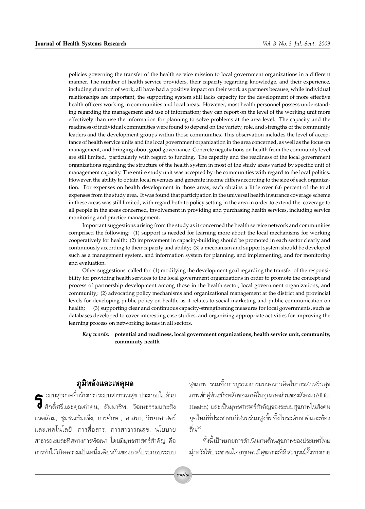policies governing the transfer of the health service mission to local government organizations in a different manner. The number of health service providers, their capacity regarding knowledge, and their experience, including duration of work, all have had a positive impact on their work as partners because, while individual relationships are important, the supporting system still lacks capacity for the development of more effective health officers working in communities and local areas. However, most health personnel possess understanding regarding the management and use of information; they can report on the level of the working unit more effectively than use the information for planning to solve problems at the area level. The capacity and the readiness of individual communities were found to depend on the variety, role, and strengths of the community leaders and the development groups within those communities. This observation includes the level of acceptance of health service units and the local government organization in the area concerned, as well as the focus on management, and bringing about good governance. Concrete negotiations on health from the community level are still limited, particularly with regard to funding. The capacity and the readiness of the local government organizations regarding the structure of the health system in most of the study areas varied by specific unit of management capacity. The entire study unit was accepted by the communities with regard to the local politics. However, the ability to obtain local revenues and generate income differs according to the size of each organization. For expenses on health development in those areas, each obtains a little over 6.6 percent of the total expenses from the study area. It was found that participation in the universal health insurance coverage scheme in these areas was still limited, with regard both to policy setting in the area in order to extend the coverage to all people in the areas concerned, involvement in providing and purchasing health services, including service monitoring and practice management.

Important suggestions arising from the study as it concerned the health service network and communities comprised the following: (1) support is needed for learning more about the local mechanisms for working cooperatively for health; (2) improvement in capacity-building should be promoted in each sector clearly and continuously according to their capacity and ability; (3) a mechanism and support system should be developed such as a management system, and information system for planning, and implementing, and for monitoring and evaluation.

Other suggestions called for (1) modifying the development goal regarding the transfer of the responsibility for providing health services to the local government organizations in order to promote the concept and process of partnership development among those in the health sector, local government organizations, and community; (2) advocating policy mechanisms and organizational management at the district and provincial levels for developing public policy on health, as it relates to social marketing and public communication on (3) supporting clear and continuous capacity-strengthening measures for local governments, such as health: databases developed to cover interesting case studies, and organizing appropriate activities for improving the learning process on networking issues in all sectors.

#### Key words: potential and readiness, local government organizations, health service unit, community, community health

# ภูมิหลังและเหตุผล

ี - ะบบสุขภาพที่กว้างกว่า ระบบสาธารณสุข ประกอบไปด้วย  $\overline{\textbf{G}}$  ศักดิ์ศรีและคุณค่าคน, สัมมาชีพ, วัฒนธรรมและสิ่ง แวดล้อม, ชุมชนเข้มแข็ง, การศึกษา, ศาสนา, วิทยาศาสตร์ และเทคโนโลยี, การสื่อสาร, การสาธารณสุข, นโยบาย ิสาธารณะและทิศทางการพัฒนา โดยมียุทธศาสตร์สำคัญ คือ การทำให้เกิดความเป็นหนึ่งเดียวกันขององค์ประกอบระบบ

สุขภาพ รวมทั้งการบูรณาการแนวความคิดในการส่งเสริมสุข ภาพเข้าสู่พันธกิจหลักของภาคีในทุกภาคส่วนของสังคม (All for Health) และเป็นยุทธศาสตร์สำคัญของระบบสุขภาพในสังคม ยุคใหม่ที่ประชาชนมีส่วนร่วมสูงขึ้นทั้งในระดับชาติและท้อง ถิ่น<sup>(๓)</sup>.

้ทั้งนี้ เป้าหมายการดำเนินงานด้านสุขภาพของประเทศไทย ม่งหวังให้ประชาชนไทยทกคนมีสขภาวะที่ดี สมบรณ์ทั้งทางกาย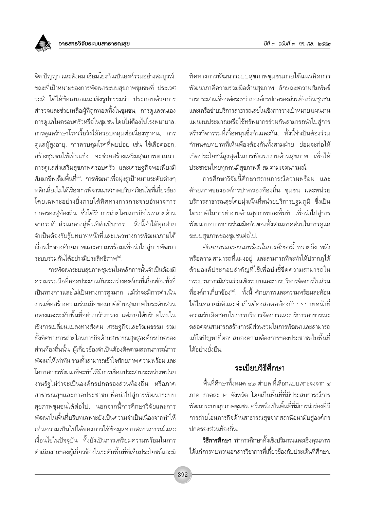จิต ปัญญา และสังคม เชื่อมโยงกันเป็นองค์รวมอย่างสมบูรณ์. ขณะที่เป้าหมายของการพัฒนาระบบสุขภาพชุมชนที่ ประเวศ วะสี ได้ให้ข้อเสนอแนะเชิงรูปธรรมว่า ประกอบด้วยการ ้สำรวจและช่วยเหลือผู้ที่ถูกทอดทิ้งในชุมชน, การดูแลตนเอง การดูแลในครอบครัวหรือในชุมชน โดยไม่ต้องไปโรงพยาบาล, การดูแลรักษาโรคเรื้อรังได้ครอบคลุมต่อเนื่องทุกคน, การ ้ดูแลผู้สูงอายุ, การควบคุมโรคที่พบบ่อย เช่น ไข้เลือดออก, สร้างชุมชนให้เข้มแข็ง จะช่วยสร้างเสริมสุขภาพตามมา, การดูแลส่งเสริมสุขภาพครอบครัว และเศรษฐกิจพอเพียงมี สัมมาชีพเต็มพื้นที<sup>่(๑)</sup>. การพัฒนาเพื่อมุ่งสู่เป้าหมายระดับต่างๆ หลีกเลี่ยงไม่ได้เรื่องการพิจารณาสภาพบริบทเงื่อนไขที่เกี่ยวข้อง โดยเฉพาะอย่างยิ่งภายใต้ทิศทางการกระจายอำนาจการ ปกครองสู่ท้องถิ่น ซึ่งได้รับการถ่ายโอนภารกิจในหลายด้าน ิจากระดับส่วนกลางสู่พื้นที่ดำเนินการ. สิ่งนี้ทำให้ทุกฝ่าย จำเป็นต้องรับรู้บทบาทหน้าที่และแนวทางการพัฒนาภายใต้ เงื่อนไขของศักยภาพและความพร้อมเพื่อนำไปสู่การพัฒนา ระบบร่วมกันได้อย่างมีประสิทธิภาพ<sup>(๔)</sup>.

การพัฒนาระบบสุขภาพชุมชนในหลักการนั้นจำเป็นต้องมี ิ ความร่วมมือที่สอดประสานกันระหว่างองค์กรที่เกี่ยวข้องทั้งที่ เป็นทางการและไม่เป็นทางการสูงมาก แม้ว่าจะมีการดำเนิน งานเพื่อสร้างความร่วมมือของภาคีด้านสุขภาพในระดับส่วน กลางและระดับพื้นที่อย่างกว้างขวาง แต่ภายใต้บริบทใหม่ใน ้เชิงการเปลี่ยนแปลงทางสังคม เศรษฐกิจและวัฒนธรรม รวม ทั้งทิศทางการถ่ายโอนภารกิจด้านสาธารณสุขสู่องค์กรปกครอง ้ส่วนท้องถิ่นนั้น ผู้เกี่ยวข้องจำเป็นต้องติดตามสถานการณ์การ ้พัฒนาให้เท่าทัน รวมทั้งสามารถเข้าใจศักยภาพ ความพร้อม และ โอกาสการพัฒนาที่จะทำให้มีการเชื่อมประสานระหว่างหน่วย งานรัฐไม่ว่าจะเป็นองค์กรปกครองส่วนท้องถิ่น หรือภาค สาธารณสุขและภาคประชาชนเพื่อนำไปสู่การพัฒนาระบบ สุขภาพชุมชนได้ต่อไป. นอกจากนี้การศึกษาวิจัยและการ ้ พัฒนาในพื้นที่บริบทเฉพาะยังเป็นความจำเป็นเนื่องจากทำให้ เห็นความเป็นไปได้ของการใช้ข้อมูลจากสถานการณ์และ เงื่อนไขในปัจจุบัน ทั้งยังเป็นการเตรียมความพร้อมในการ ดำเนินงานของผู้เกี่ยวข้องในระดับพื้นที่ที่เห็นประโยชน์และมี ทิศทางการพัฒนาระบบสุขภาพชุมชนภายใต้แนวคิดการ ์ พัฒนาภาคีความร่วมมือด้านสุขภาพ ลักษณะความสัมพันธ์ การประสานเชื่อมต่อระหว่าง องค์กรปกครองส่วนท้องถิ่น ชุมชน และเครือข่ายบริการสาธารณสุขในเชิงการวางเป้าหมาย แผนงาน แผนงบประมาณหรือใช้ทรัพยากรร่วมกันสามารถนำไปสู่การ สร้างกิจกรรมที่เกื้อหนุนซึ่งกันและกัน. ทั้งนี้จำเป็นต้องร่วม ้กำหนดบทบาทที่เห็นพ้องต้องกันทั้งสามฝ่าย ย่อมจะก่อให้ ้เกิดประโยชน์สูงสุดในการพัฒนางานด้านสุขภาพ เพื่อให้ ประชาชนไทยทุกคนมีสุขภาพดี สมตามเจตนารมณ์.

้การศึกษาวิจัยนี้ศึกษาสถานการณ์ความพร้อม และ ์ศักยภาพขององค์กรปกครองท้องถิ่น ชุมชน และหน่วย บริการสาธารณสุขโดยมุ่งเน้นที่หน่วยบริการปฐมภูมิ ซึ่งเป็น ไตรภาคีในการทำงานด้านสุขภาพของพื้นที่ เพื่อนำไปสู่การ ิพัฒนาบทบาทการร่วมมือกันของทั้งสามภาคส่วนในการดูแล ระบบสุขภาพของชุมชนต่อไป.

์ศักยภาพและความพร้อมในการศึกษานี้ หมายถึง พลัง หรือความสามารถที่แฝงอยู่ และสามารถที่จะทำให้ปรากฏได้ ด้วยองค์ประกอบสำคัญที่ใช้เพื่อบ่งชี้ขีดความสามารถใน กระบวนการมีส่วนร่วมเชิงระบบและการบริหารจัดการในส่วน ที่องค์กรเกี่ยวข้อง<sup>๒)</sup> ทั้งนี้ ศักยภาพและความพร้อมสะท้อน ได้ในหลายมิติและจำเป็นต้องสอดคล้องกับบทบาทหน้าที่ ความรับผิดชอบในการบริหารจัดการและบริการสาธารณะ ตลอดจนสามารถสร้างการมีส่วนร่วมในการพัฒนาและสามารถ แก้ไขปัญหาที่ตอบสนองความต้องการของประชาชนในพื้นที่ ได้อย่างยั่งยืน.

### ระเบียบวิธีสึกษา

์พื้นที่ศึกษาทั้งหมด ๑๒ ตำบล ที่เลือกแบบเจาะจงจาก ๔ ภาค ภาคละ ๒ จังหวัด โดยเป็นพื้นที่ที่มีประสบการณ์การ ้พัฒนาระบบสุขภาพชุมชน ครึ่งหนึ่งเป็นพื้นที่ที่มีการนำร่องที่มี การถ่ายโอนภารกิจด้านสาธารณสุขจากสถานีอนามัยสู่องค์กร ปกครองส่วนท้องถิ่น.

**วิธีการศึกษา** ทำการศึกษาทั้งเชิงปริมาณและเชิงคุณภาพ ได้แก่การทบทวนเอกสารวิชาการที่เกี่ยวข้องกับประเด็นที่ศึกษา.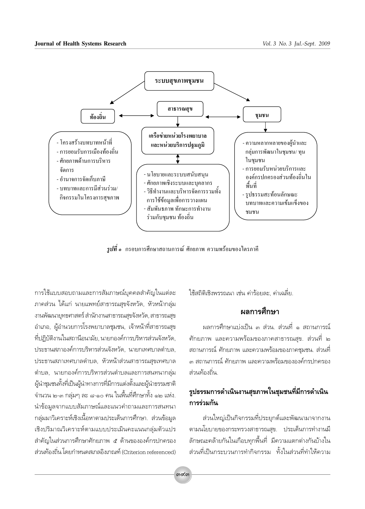

*รูปที่* ๑ กรอบการศึกษาสถานการณ์ ศักยภาพ ความพร้อมของไตรภาคี

การใช้แบบสอบถามและการสัมภาษณ์บุคคลสำคัญในแต่ละ ภาคส่วน ได้แก่ นายแพทย์สาธารณสุขจังหวัด, หัวหน้ากลุ่ม งานพัฒนายุทธศาสตร์ สำนักงานสาธารณสุขจังหวัด, สาธารณสุข ้อำเภอ, ผู้อำนวยการโรงพยาบาลชุมชน, เจ้าหน้าที่สาธารณสุข ที่ปฏิบัติงานในสถานีอนามัย, นายกองค์การบริหารส่วนจังหวัด, ประธานสภาองค์การบริหารส่วนจังหวัด, นายกเทศบาลตำบล, ประธานสภาเทศบาลตำบล, หัวหน้าส่วนสาธารณสขเทศบาล ้ตำบล, นายกองค์์การบริหารส่วนตำบลและการสนทนากลุ่ม ผู้นำชุมชนทั้งที่เป็นผู้นำทางการที่มีการแต่งตั้งและผู้นำธรรมชาติ จำนวน ๒-๓ กลุ่มๆ ละ ๘-๑๐ คน ในพื้นที่ศึกษาทั้ง ๑๒ แห่ง. นำข้อมูลจากแบบสัมภาษณ์และแนวคำถามและการสนทนา กลุ่มมาวิเคราะห์เชิงเนื้อหาตามประเด็นการศึกษา. ส่วนข้อมูล เชิงปริมาณวิเคราะห์ตามแบบประเมินคะแนนกล่มตัวแปร สำคัญในส่วนการศึกษาศักยภาพ ๕ ด้านขององค์กรปกครอง ส่วนท้องถิ่น โดยกำหนดสเกลอิงเกณฑ์ (Criterion referenced)

ใช้สถิติเชิงพรรณนา เช่น ค่าร้อยละ. ค่าเฉลี่ย.

### ผลการศึกษา

ผลการศึกษาแบ่งเป็น ๓ ส่วน. ส่วนที่ ๑ สถานการณ์ ์ศักยภาพ และความพร้อมของภาคสาธารณสุข. ส่วนที่ ๒ สถานการณ์ ศักยภาพ และความพร้อมของภาคชุมชน. ส่วนที่ ส่วนท้องถิ่น

# รูปธรรมการดำเนินงานสุขภาพในชุมชนที่มีการดำเนิน การร่วมกัน

ส่วนใหญ่เป็นกิจกรรมที่ประยุกต์และพัฒนามาจากงาน ตามนโยบายของกระทรวงสาธารณสข. ประเด็นการทำงานมื ลักษณะคล้ายกันในเกือบทุกพื้นที่ มีความแตกต่างกันบ้างใน ส่วนที่เป็นกระบวนการทำกิจกรรม ทั้งในส่วนที่ทำให้ความ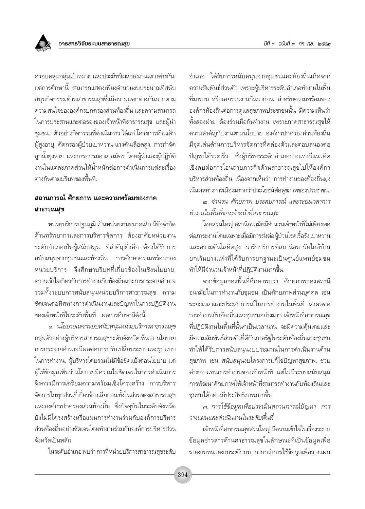้ครอบคลุมกลุ่มเป้าหมาย และประสิทธิผลของงานแตกต่างกัน. แต่การศึกษานี้ สามารถแสดงเพียงจำนวนงบประมาณที่สนับ สนุนกิจกรรมด้านสาธารณสุขซึ่งมีความแตกต่างกันมากตาม ความสนใจขององค์กรปกครองส่วนท้องถิ่น และความสามารถ ในการประสานและต่อรองของเจ้าหน้าที่สาธารณสุข และผู้นำ ชุมชน. ตัวอย่างกิจกรรมที่ดำเนินการ ได้แก่ โครงการด้านเด็ก ผู้สูงอายุ, คัดกรองผู้ป่วยเบาหวาน แรงดันเลือดสูง, การกำจัด ลูกน้ำยุงลาย และการอบรมอาสาสมัคร โดยผู้นำและผู้ปฏิบัติ งานในแต่ละภาคส่วนให้น้ำหนักต่อการดำเนินการแต่ละเรื่อง ต่างกันตามบริบทของพื้นที่

### ิสถานการณ์ ศักยภาพ และความพร้อมของภาค สาธารณสข

หน่วยบริการปจุมภูมิ เป็นหน่วยงานขนาดเล็ก มีข้อจำกัด ด้านทรัพยากรและการบริหารจัดการ ต้องอาศัยหน่วยงาน ระดับอำเภอเป็นผู้สนับสนุน. ที่สำคัญยิ่งคือ ต้องได้รับการ สนับสนุนจากชุมชนและท้องถิ่น. การศึกษาความพร้อมของ หน่วยบริการ จึงศึกษาบริบทที่เกี่ยวข้องในเชิงนโยบาย. ความเข้าใจเกี่ยวกับการทำงานกับท้องถิ่นและการกระจายอำนาจ รวมทั้งระบบการสนับสนุนหน่วยบริการสาธารณสุข, ความ ชัดเจนต่อทิศทางการดำเนินงานและปัญหาในการปฏิบัติงาน ของเจ้าหน้าที่ในระดับพื้นที่. ผลการศึกษามีดังนี้

๑. นโยบายและระบบสนับสนุนหน่วยบริการสาธารณสุข กลุ่มตัวอย่างผู้บริหารสาธารณสุขระดับจังหวัดเห็นว่า นโยบาย การกระจายอำนาจมีผลต่อการปรับเปลี่ยนระบบและรูปแบบ ในการทำงาน. ผู้บริหารโดยรวมไม่มีข้อขัดแย้งต่อนโยบาย แต่ ผู้ให้ข้อมูลเห็นว่านโยบายมีความไม่ชัดเจนในการดำเนินการ จึงควรมีการเตรียมความพร้อมเชิงโครงสร้าง การบริหาร จัดการในทุกส่วนที่เกี่ยวข้องเสียก่อน ทั้งในส่วนของสาธารณสุข และองค์กรปกครองส่วนท้องถิ่น ซึ่งปัจจุบันในระดับจังหวัด ยังไม่มีโครงสร้างหรือแผนการทำงานร่วมกับองค์การบริหาร ส่วนท้องถิ่นอย่างชัดเจนโดยทำงานร่วมกับองค์การบริหารส่วน จังหวัดเป็นหลัก

ในระดับอำเภอ พบว่า การที่หน่วยบริการสาธารณสุขระดับ

อำเภอ ได้รับการสนับสนุนจากชุมชนและท้องถิ่นเกิดจาก ความสัมพันธ์ส่วนตัว เพราะผู้บริหารระดับอำเภอทำงานในพื้น ู้ที่มานาน หรือเคยร่วมงานกันมาก่อน. สำหรับความพร้อมของ องค์กรท้องถิ่นต่อการดูแลสุขภาพประชาชนนั้น มีความเห็นว่า ์ทั้งสองฝ่าย ต้องร่วมมือกันทำงาน เพราะภาคสาธารณสุขให้ ้ความสำคัญกับงานตามนโยบาย องค์กรปกครองส่วนท้องถิ่น มีจดเด่นด้านการบริหารจัดการที่คล่องตัวและตอบสนองต่อ ้ปัญหาได้รวดเร็ว ซึ่งผู้บริหารระดับอำเภอบางแห่งมีแนวคิด เชิงลบต่อการโอนถ่ายภารกิจด้านสาธารณสขไปให้องค์กร บริหารส่วนท้องถิ่น เนื่องจากเห็นว่า การทำงานของท้องถิ่นมุ่ง เน้นผลทางการเมืองมากกว่าประโยชน์ต่อสุขภาพของประชาชน.

๒. จำนวน ศักยภาพ ประสบการณ์ และระยะเวลาการ ทำงานในพื้นที่ของเจ้าหน้าที่สาธารณสข

โดยส่วนใหญ่ สถานีอนามัยมีจำนวนเจ้าหน้าที่ไม่เพียงพอ ต่อภาระงานโดยเฉพาะเมื่อมีการส่งต่อผู้ป่วยโรคเรื้อรัง เบาหวาน และความดันโลหิตสูง มารับบริการที่สถานีอนามัยใกล้บ้าน ยกเว้นบางแห่งที่ได้รับการยกฐานะเป็นศูนย์แพทย์ชุมชน ทำให้มีจำนวนเจ้าหน้าที่ปฏิบัติงานมากขึ้น.

จากข้อมูลของพื้นที่ศึกษาพบว่า ศักยภาพของสถานี ้อนามัยในการทำงานกับชุมชน เป็นศักยภาพส่วนบุคคล เช่น ระยะเวลาและประสบการณ์ในการทำงานในพื้นที่ ส่งผลต่อ การทำงานกับท้องถิ่นและชุมชนอย่างมาก. เจ้าหน้าที่สาธารณสุข ้ที่ปฏิบัติงานในพื้นที่นั้นๆเป็นเวลานาน จะมีความคุ้นเคยและ มีความสัมพันธ์ส่วนตัวที่ดีกับภาครัฐในระดับท้องถิ่นและชุมชน ทำให้ได้รับการสนับสนุนงบประมาณในการดำเนินงานด้าน สุขภาพ เช่น สนับสนุนงบโครงการแก้ไขปัญหาสุขภาพ, ช่วย ้ค่าตอบแทนการทำงานของเจ้าหน้าที่ แต่ไม่มีระบบสนับสนน การพัฒนาศักยภาพให้เจ้าหน้าที่สามารถทำงานกับท้องถิ่นและ ชุมชนได้อย่างมีประสิทธิภาพมากขึ้น.

.๓. การใช้ข้อมูลเพื่อประเมินสถานการณ์ปัญหา การ วางแผนและดำเนินงานในระดับพื้นที่

เจ้าหน้าที่สาธารณสุขส่วนใหญ่ มีความเข้าใจในเรื่องระบบ ข้อมูลข่าวสารด้านสาธารณสุขในลักษณะที่เป็นข้อมูลเพื่อ รายงานหน่วยงานระดับบน มากกว่าการใช้ข้อมูลเพื่อวางแผน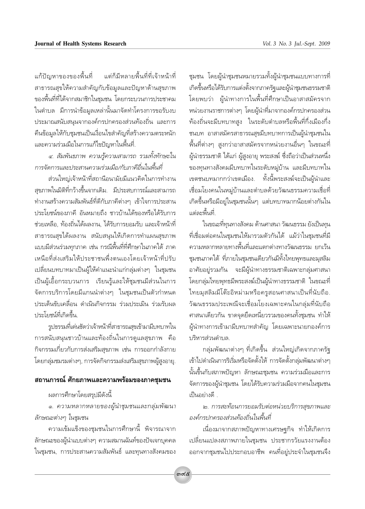แต่ก็มีหลายพื้นที่ที่เจ้าหน้าที่ แก้ปัญหาของของพื้นที่ สาธารณสุขให้ความสำคัญกับข้อมูลและปัญหาด้านสุขภาพ ของพื้นที่ที่ได้จากสมาชิกในชุมชน โดยกระบวนการประชาคม ในตำบล มีการนำข้อมูลเหล่านั้นมาจัดทำโครงการขอรับงบ ประมาณสนับสนุนจากองค์กรปกครองส่วนท้องถิ่น และการ ดื่นข้อมูลให้กับชุมชนเป็นเงื่อนไขสำคัญที่สร้างความตระหนัก และความร่วมมือในการแก้ไขปัญหาในพื้นที่.

๔. สัมพันธภาพ ความรู้ความสามารถ รวมทั้งทักษะใน การจัดการและประสานความร่วมมือ/กับภาคีอื่นในพื้นที่

ส่วนใหญ่เจ้าหน้าที่สถานีอนามัยมีแนวคิดในการทำงาน ้สุขภาพในมิติที่กว้างขึ้นจากเดิม. มีประสบการณ์และสามารถ ทำงานสร้างความสัมพันธ์ที่ดีกับภาคีต่างๆ เข้าใจการประสาน ประโยชน์ของภาคี อันหมายถึง ชาวบ้านได้ของหรือได้รับการ ช่วยเหลือ. ท้องถิ่นได้ผลงาน. ได้รับการยอมรับ และเจ้าหน้าที่ สาธารณสุขได้ผลงาน สนับสนุนให้เกิดการทำแผนสุขภาพ แบบมีส่วนร่วมทุกภาค เช่น กรณีพื้นที่ที่ศึกษาในภาคใต้ ภาค เหนือที่ส่งเสริมให้ประชาชนพึ่งตนเองโดยเจ้าหน้าที่ปรับ เปลี่ยนบทบาทมาเป็นผู้ให้คำแนะนำแก่กลุ่มต่างๆ ในชุมชน เป็นผู้เอื้อกระบวนการ เรียนรู้และให้ชุมชนมีส่วนในการ จัดการบริการโดยมีแกนนำต่างๆ ในชุมชนเป็นตัวกำหนด ประเด็นขับเคลื่อน ดำเนินกิจกรรม ร่วมประเมิน ร่วมรับผล <u> 1 |ระโยศน์ที่เกิดขึ้น</u>

รูปธรรมที่เด่นชัดว่าเจ้าหน้าที่สาธารณสุขเข้ามามีบทบาทใน การสนับสนุนชาวบ้านและท้องถิ่นในการดูแลสุขภาพ คือ กิจกรรมเกี่ยวกับการส่งเสริมสุขภาพ เช่น การออกกำลังกาย โดยกลุ่มชมรมต่างๆ, การจัดกิจกรรมส่งเสริมสุขภาพผู้สูงอายุ.

#### ิสถานการณ์ ศักยภาพและความพร้อมของภาคชุมชน

# ผลการศึกษาโดยสรุปมีดังนี้

๑. ความหลากหลายของผู้นำชุมชนและกลุ่มพัฒนา ลักษณะต่างๆ ในชุมชน

้ความเข้มแข็งของชุมชนในการศึกษานี้ พิจารณาจาก ลักษณะของผู้นำแบบต่างๆ ความสมานฉันท์ของปัจเจกบุคคล ในชุมชน, การประสานความสัมพันธ์ และทุนทางสังคมของ

ชุมชน โดยผู้นำชุมชนหมายรวมทั้งผู้นำชุมชนแบบทางการที่ เกิดขึ้นหรือได้รับการแต่งตั้งจากภาครัฐและผู้นำชุมชนธรรมชาติ โดยพบว่า ผู้นำทางการในพื้นที่ศึกษาเป็นอาสาสมัครจาก หน่วยงานราชการต่างๆ โดยผู้นำที่มาจากองค์กรปกครองส่วน ้ท้องถิ่นจะมีบทบาทสูง ในระดับตำบลหรือพื้นที่กึ่งเมืองกึ่ง ชนบท อาสาสมัครสาธารณสุขมีบทบาทการเป็นผู้นำชุมชนใน ์พื้นที่ต่างๆ สูงกว่าอาสาสมัครจากหน่วยงานอื่นๆ ในขณะที่ ผู้นำธรรมชาติ ได้แก่ ผู้สูงอายุ พระสงฆ์ ซึ่งถือว่าเป็นส่วนหนึ่ง ของทุนทางสังคมมีบทบาทในระดับหมู่บ้าน และมีบทบาทใน เขตชนบทมากกว่าเขตเมือง. ทั้งนี้พระสงฆ์จะเป็นผู้นำและ เชื่อมโยงคนในหมู่บ้านและตำบลด้วยวัฒนธรรมความเชื่อที่ เกิดขึ้นหรือมีอยู่ในชุมชนนั้นๆ แต่บทบาทมากน้อยต่างกันใน แต่ละพื้นที่

ในขณะที่ทุนทางสังคม ด้านศาสนา วัฒนธรรม ยังเป็นทุน ที่เชื่อมต่อคนในชุมชนให้มารวมตัวกันได้ แม้ว่าในชุมชนที่มี ์ ความหลากหลายทางพื้นที่และแตกต่างทางวัฒนธรรม ยกเว้น ชุมชนภาคใต้ ที่ภายในชุมชนเดียวกันมีทั้งไทยพุทธและมุสลิม อาศัยอยู่รวมกัน จะมีผู้นำทางธรรมชาติเฉพาะกลุ่มศาสนา โดยกลุ่มไทยพุทธมีพระสงฆ์เป็นผู้นำทางธรรมชาติ ในขณะที่ ไทยมุสลิมมีโต๊ะอิหม่ามหรือครูสอนศาสนาเป็นที่นับถือ. วัฒนธรรมประเพณีจะเชื่อมโยงเฉพาะคนในกลุ่มที่นับถือ ศาสนาเดียวกัน ขาดจุดยึดเหนี่ยวรวมของคนทั้งชุมชน ทำให้ ผู้นำทางการเข้ามามีบทบาทสำคัญ โดยเฉพาะนายกองค์การ <u> 1 เริหารส่วนตำบล</u>

ึกลุ่มพัฒนาต่างๆ ที่เกิดขึ้น ส่วนใหญ่เกิดจากภาครัฐ เข้าไปดำเนินการริเริ่มหรือจัดตั้งให้ การจัดตั้งกลุ่มพัฒนาต่างๆ นั้นขึ้นกับสภาพปัญหา ลักษณะชุมชน ความร่วมมือและการ จัดการของผู้นำชุมชน โดยได้รับความร่วมมือจากคนในชุมชน เป็นอย่างดี .

๒. การสะท้อนการยอมรับต่อหน่วยบริการสุขภาพและ องค์กรปกครองส่วนท้องถิ่นในพื้นที่

เนื่องมาจากสภาพปัญหาทางเศรษฐกิจ ทำให้เกิดการ เปลี่ยนแปลงสภาพภายในชุมชน ประชากรวัยแรงงานต้อง ออกจากชุมชนไปประกอบอาชีพ คนที่อยู่ประจำในชุมชนจึง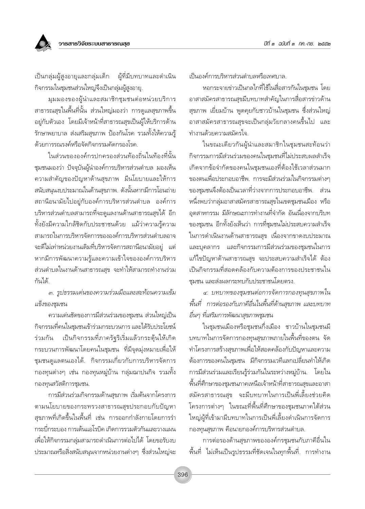

ผู้ที่มีบทบาทและดำเนิน เป็นกลุ่มผู้สูงอายุและกลุ่มเด็ก กิจกรรมในชุมชนส่วนใหญ่จึงเป็นกลุ่มผู้สูงอายุ.

มุมมองของผู้นำและสมาชิกชุมชนต่อหน่วยบริการ สาธารณสุขในพื้นที่นั้น ส่วนใหญ่มองว่า การดูแลสุขภาพขึ้น ้อยู่กับตัวเอง โดยมีเจ้าหน้าที่สาธารณสุขเป็นผู้ให้บริการด้าน รักษาพยาบาล ส่งเสริมสุขภาพ ป้องกันโรค รวมทั้งให้ความรู้ ด้วยการรณรงค์หรือจัดกิจกรรมคัดกรองโรค

ในส่วนขององค์กรปกครองส่วนท้องถิ่นในท้องที่นั้น ชุมชนมองว่า ปัจจุบันผู้นำองค์การบริหารส่วนตำบล มองเห็น ความสำคัญของปัญหาด้านสุขภาพ มีนโยบายและให้การ สนับสนุนงบประมาณในด้านสุขภาพ. ดังนั้นหากมีการโอนถ่าย ิสถานือนามัยไปอยู่กับองค์การบริหารส่วนตำบล องค์การ บริหารส่วนตำบลสามารถที่จะดูแลงานด้านสาธารณสุขได้ อีก ์ทั้งยังมีความใกล้ชิดกับประชาชนด้วย แม้ว่าความรู้ความ สามารถในการบริหารจัดการขององค์การบริหารส่วนตำบลอาจ ้จะดีไม่เท่าหน่วยงานเดิมที่บริหารจัดการสถานีอนามัยอยู่ แต่ หากมีการพัฒนาความรู้และความเข้าใจขององค์การบริหาร ส่วนตำบลในงานด้านสาธารณสุข จะทำให้สามารถทำงานร่วม กันได้

.๓. รูปธรรมเด่นของความร่วมมือและสะท้อนความเข้ม แข็งของชมชน

้ความเด่นชัดของการมีส่วนร่วมของชุมชน ส่วนใหญ่เป็น กิจกรรมที่คนในชุมชนเข้าร่วมกระบวนการ และได้รับประโยชน์ เป็นกิจกรรมที่ภาครัฐริเริ่มแล้วกระตุ้นให้เกิด ร่วมกัน กระบวนการพัฒนาโดยคนในชุมชน ที่มีจุดมุ่งหมายเพื่อให้ ชุมชนดูแลตนเองได้. กิจกรรมเกี่ยวกับการบริหารจัดการ ึกองทุนต่างๆ เช่น กองทุนหมู่บ้าน กลุ่มฌาปนกิจ รวมทั้ง กองทุนสวัสดิการชุมชน.

การมีส่วนร่วมกิจกรรมด้านสุขภาพ เริ่มต้นจากโครงการ ตามนโยบายของกระทรวงสาธารณสุขประกอบกับปัญหา สุขภาพที่เกิดขึ้นในพื้นที่ เช่น การออกกำลังกายโดยการรำ กระบี่กระบอง การเต้นแอโรบิค เกิดการรวมตัวกันและวางแผน เพื่อให้กิจกรรมกล่มสามารถดำเนินการต่อไปได้ โดยขอรับงบ ประมาณหรือสิ่งสนับสนุนจากหน่วยงานต่างๆ ซึ่งส่วนใหญ่จะ เป็นองค์การบริหารส่วนตำบลหรือเทศบาล.

หอกระจายข่าวเป็นกลไกที่ใช้ในสื่อสารกันในชุมชน โดย อาสาสมัครสาธารณสุขมีบทบาทสำคัญในการสื่อสารข่าวด้าน สุขภาพ เยี่ยมบ้าน พูดคุยกับชาวบ้านในชุมชน ซึ่งส่วนใหญ่ อาสาสมัครสาธารณสุขจะเป็นกลุ่มวัยกลางคนขึ้นไป และ ทำงานด้วยความสมัครใจ.

ในขณะเดียวกันผู้นำและสมาชิกในชุมชนสะท้อนว่า กิจกรรมการมีส่วนร่วมของคนในชุมชนที่ไม่ประสบผลสำเร็จ เกิดจากข้อจำกัดของคนในชมชนเองที่ต้องใช้เวลาส่วนมาก ของตนเพื่อประกอบอาชีพ. การจะมีส่วนร่วมในกิจกรรมต่างๆ ของชุมชนจึงต้องเป็นเวลาที่ว่างจากการประกอบอาชีพ. ส่วน หนึ่งพบว่ากลุ่มอาสาสมัครสาธารณสุขในเขตชุมชนเมือง หรือ อุตสาหกรรม มีลักษณะการทำงานที่จำกัด อันเนื่องจากบริบท ของชุมชน อีกทั้งยังเห็นว่า การที่ชุมชนไม่ประสบความสำเร็จ ในการดำเนินงานด้านสาธารณสุข เนื่องจากขาดงบประมาณ และบุคลากร และกิจกรรมการมีส่วนร่วมของชุมชนในการ แก้ไขปัญหาด้านสาธารณสุข จะประสบความสำเร็จได้ ต้อง เป็นกิจกรรมที่สอดคล้องกับความต้องการของประชาชนใน ชมชน และส่งผลกระทบกับประชาชนโดยตรง.

๔. บทบาทของชุมชนต่อการจัดการกองทุนสุขภาพใน พื้นที่ การต่อรองกับภาคีอื่นในพื้นที่ด้านสุขภาพ และบทบาท อื่นๆ ที่เสริมการพัฒนาสุขภาพชุมชน

ในชุมชนเมืองหรือชุมชนกึ่งเมือง ชาวบ้านในชุมชนมี ้บทบาทในการจัดการกองทุนสุขภาพภายในพื้นที่ของตน จัด ทำโครงการสร้างสุขภาพเพื่อให้สอดคล้องกับปัญหาและความ ต้องการของคนในชุมชน มีกิจกรรมเวทีแลกเปลี่ยนทำให้เกิด การมีส่วนร่วมและเรียนรู้ร่วมกันในระหว่างหมู่บ้าน. โดยใน ้พื้นที่ศึกษาของชุมชนภาคเหนือเจ้าหน้าที่สาธารณสุขและอาสา สมัครสาธารณสุข จะมีบทบาทในการเป็นพี่เลี้ยงช่วยคิด โครงการต่างๆ ในขณะที่พื้นที่ศึกษาของชุมชนภาคใต้ส่วน ใหญ่ผู้ที่เข้ามามีบทบาทในการเป็นพี่เลี้ยงดำเนินการจัดการ กองทุนสุขภาพ คือนายกองค์การบริหารส่วนตำบล.

การต่อรองด้านสุขภาพขององค์กรชุมชนกับภาคีอื่นใน ์พื้นที่ ไม่เห็นเป็นรูปธรรมที่ชัดเจนในทุกพื้นที่. การทำงาน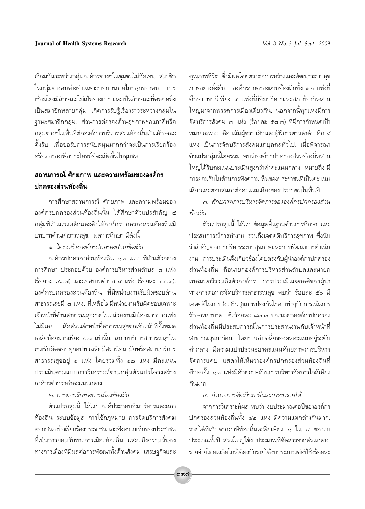เชื่อมกันระหว่างกลุ่มองค์กรต่างๆในชุมชนไม่ชัดเจน สมาชิก ในกลุ่มต่างคนต่างทำเฉพาะบทบาทภายในกลุ่มของตน. การ เชื่อมโยงมีลักษณะไม่เป็นทางการ และเป็นลักษณะที่คนๆหนึ่ง เป็นสมาชิกหลายกลุ่ม เกิดการรับรู้เรื่องราวระหว่างกลุ่มใน ฐานะสมาชิกกลุ่ม. ส่วนการต่อรองด้านสุขภาพของภาคีหรือ กลุ่มต่างๆในพื้นที่ต่อองค์การบริหารส่วนท้องถิ่นเป็นลักษณะ ์ตั้งรับ เพื่อขอรับการสนับสนุนมากกว่าจะเป็นการเรียกร้อง หรือต่อรองเพื่อประโยชน์ที่จะเกิดขึ้นในชุมชน.

## ิสถานการณ์ ศักยภาพ และความพร้อมขององค์กร ปกครองส่วนท้องถิ่น

การศึกษาสถานการณ์ ศักยภาพ และความพร้อมของ ้องค์กรปกครองส่วนท้องถิ่นนั้น ได้ศึกษาตัวแปรสำคัญ ๕ กลุ่มที่เป็นแรงผลักและดึงให้องค์กรปกครองส่วนท้องถิ่นมื ้บทบาทด้านสาธารณสุข. ผลการศึกษา มีดังนี้

๑. โครงสร้างองค์กรปกครองส่วนท้องถิ่น

องค์กรปกครองส่วนท้องถิ่น ๑๒ แห่ง ที่เป็นตัวอย่าง การศึกษา ประกอบด้วย องค์การบริหารส่วนตำบล ๘ แห่ง (ร้อยละ ๖๖.๗) และเทศบาลตำบล ๔ แห่ง (ร้อยละ ๓๓.๓). องค์กรปกครองส่วนท้องถิ่น ที่มีหน่วยงานรับผิดชอบด้าน สาธารณสุขมี ๘ แห่ง. ที่เหลือไม่มีหน่วยงานรับผิดชอบเฉพาะ เจ้าหน้าที่ด้านสาธารณสุขภายในหน่วยงานมีน้อยมากบางแห่ง ไม่มีเลย. สัดส่วนเจ้าหน้าที่สาธารณสุขต่อเจ้าหน้าที่ทั้งหมด เฉลี่ยน้อยมากเพียง ๐.๑ เท่านั้น. สถานบริการสาธารณสุขใน เขตรับผิดชอบทุกอปท.เฉลี่ยมีสถานีอนามัยหรือสถานบริการ สาธารณสุขอยู่ ๑ แห่ง โดยรวมทั้ง ๑๒ แห่ง มีคะแนน ประเมินตามแบบการวิเคราะห์ตามกลุ่มตัวแปรโครงสร้าง องค์กรต่ำกว่าค่าคะแนนกลาง.

#### ๒. การยอมรับทางการเมืองท้องถิ่น

ตัวแปรกลุ่มนี้ ได้แก่ องค์ประกอบทีมบริหารและสภา ท้องถิ่น ระบบข้อมูล การใช้กฎหมาย การจัดบริการสังคม ตอบสนองข้อเรียกร้องประชาชน และฟังความเห็นของประชาชน ู้ที่เน้นการยอมรับทางการเมืองท้องถิ่น แสดงถึงความมั่นคง ิทางการเมืองที่มีผลต่อการพัฒนาทั้งด้านสังคม เศรษฐกิจและ

คุณภาพชีวิต ซึ่งมีผลโดยตรงต่อการสร้างและพัฒนาระบบสุข ภาพอย่างยั่งยืน. องค์กรปกครองส่วนท้องถิ่นทั้ง ๑๒ แห่งที่ ้ศึกษา พบมีเพียง ๔ แห่งที่มีทีมบริหารและสภาท้องถิ่นส่วน ใหญ่มาจากพรรคการเมืองเดียวกัน. นอกจากนี้ทุกแห่งมีการ จัดบริการสังคม ๗ แห่ง (ร้อยละ ๕๘.๓) ที่มีการกำหนดเป้า หมายเฉพาะ คือ เน้นผู้ชรา เด็กและผู้พิการตามลำดับ อีก ๕ แห่ง เป็นการจัดบริการสังคมแก่บคคลทั่วไป. เมื่อพิจารณา ตัวแปรกลุ่มนี้โดยรวม พบว่าองค์กรปกครองส่วนท้องถิ่นส่วน ใหญ่ได้รับคะแนนประเมินสูงกว่าค่าคะแนนกลาง หมายถึง มี การยอมรับในด้านการฟังความเห็นของประชาชนที่เป็นคะแนน เสียงและตอบสนองต่อคะแนนเสียงของประชาชนในพื้นที่.

๓. ศักยภาพการบริหารจัดการขององค์กรปกครองส่วน ท้องถิ่น

้ตัวแปรกลุ่มนี้ ได้แก่ ข้อมูลพื้นฐานด้านการศึกษา และ ประสบการณ์การทำงาน รวมถึงเจตคติบริการสุขภาพ ซึ่งนับ ว่าสำคัญต่อการบริหารระบบสุขภาพและการพัฒนาการดำเนิน งาน. การประเมินจึงเกี่ยวข้องโดยตรงกับผู้นำองค์กรปกครอง ส่วนท้องถิ่น คือนายกองค์การบริหารส่วนตำบลและนายก เทศมนตรีรวมถึงตัวองค์กร. การประเมินเจตคติของผู้นำ ทางการต่อการจัดบริการสาธารณสุข พบว่า ร้อยละ ๕๐ มี เจตคติในการส่งเสริมสขภาพป้องกันโรค เท่าๆกับการเน้นการ ้รักษาพยาบาล - ซึ่งร้อยละ ๘๓.๓ ของนายกองค์กรปกครอง ส่วนท้องถิ่นมีประสบการณ์ในการประสานงานกับเจ้าหน้าที่ สาธารณสุขมาก่อน. โดยรวมค่าเฉลี่ยของผลคะแนนอยู่ระดับ ้ค่ากลาง มีความแปรปรวนของคะแนนศักยภาพการบริหาร จัดการแคบ แสดงให้เห็นว่าองค์กรปกครองส่วนท้องถิ่นที่ ์ศึกษาทั้ง ๑๒ แห่งมีศักยภาพด้านการบริหารจัดการใกล้เคียง กันมาก.

#### ๔. อำนาจการจัดเก็บภาษีและการหารายได้

จากการวิเคราะห์ผล พบว่า งบประมาณต่อปีขององค์กร ปกครองส่วนท้องถิ่นทั้ง ๑๒ แห่ง มีความแตกต่างกันมาก. รายได้ที่เก็บจากภาษีท้องถิ่นเฉลี่ยเพียง ๑ ใน ๔ ของงบ ประมาณทั้งปี ส่วนใหญ่ใช้งบประมาณที่จัดสรรจากส่วนกลาง. รายจ่ายโดยเฉลี่ยใกล้เคียงกับรายได้งบประมาณต่อปีซึ่งร้อยละ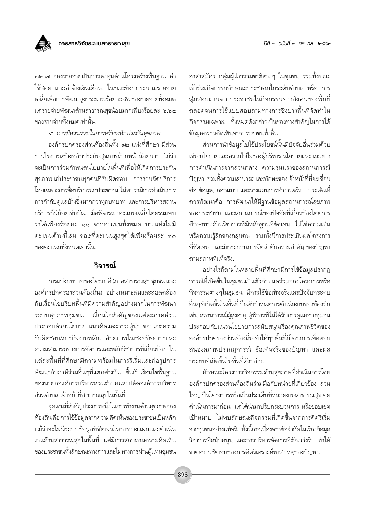

.<br>๓๒.๗ ของรายจ่ายเป็นการลงทุนด้านโครงสร้างพื้นฐาน ค่า ใช้สอย และค่าจ้างเงินเดือน. ในขณะที่งบประมาณรายจ่าย เฉลี่ยเพื่อการพัฒนาสูงประมาณร้อยละ ๕๐ ของรายจ่ายทั้งหมด แต่รายจ่ายพัฒนาด้านสาธารณสุขน้อยมากเพียงร้อยละ ๖.๖๔ ของรายจ่ายทั้งหมดเท่านั้น

ี ๕. การมีส่วนร่วมในการสร้างหลักประกันสุขภาพ

องค์กรปกครองส่วนท้องถิ่นทั้ง ๑๒ แห่งที่ศึกษา มีส่วน ้ร่วมในการสร้างหลักประกันสขภาพถ้วนหน้าน้อยมาก ไม่ว่า จะเป็นการร่วมกำหนดนโยบายในพื้นที่เพื่อให้เกิดการประกัน สุขภาพแก่ประชาชนทุกคนที่รับผิดชอบ. การร่วมจัดบริการ โดยเฉพาะการซื้อบริการแก่ประชาชน ไม่พบว่ามีการดำเนินการ การกำกับดูแลบ้างซึ่งมากกว่าทุกบทบาท และการบริหารสถาน าเริการก็มีน้อยเช่นกัน. เมื่อพิจารณาคะแนนเฉลี่ยโดยรวมพบ ว่าได้เพียงร้อยละ ๑๑ จากคะแนนทั้งหมด บางแห่งไม่มี คะแนนด้านนี้เลย ขณะที่คะแนนสูงสุดได้เพียงร้อยละ ๓๐ ของคะแนนทั้งหมดเท่านั้น

## วิจารณ์

การแบ่งบทบาทของไตรภาคี (ภาคสาธารณสุข ชุมชน และ ้องค์กรปกครองส่วนท้องถิ่น) อย่างเหมาะสมและสอดคล้อง กับเงื่อนไขบริบทพื้นที่มีความสำคัญอย่างมากในการพัฒนา ระบบสุขภาพชุมชน. เงื่อนไขสำคัญของแต่ละภาคส่วน ประกอบด้วยนโยบาย แนวคิดและภาวะผู้นำ ขอบเขตความ ้รับผิดชอบ/ภารกิจงานหลัก ศักยภาพในเชิงทรัพยากรและ ้ความสามารถทางการจัดการและหลักวิชาการที่เกี่ยวข้อง ใน แต่ละพื้นที่ที่ศึกษามีความพร้อมในการริเริ่มและก่อรูปการ ้พัฒนากับภาคีร่วมอื่นๆที่แตกต่างกัน ขึ้นกับเงื่อนไขพื้นฐาน ของนายกองค์การบริหารส่วนตำบลและปลัดองค์การบริหาร ้ส่วนตำบล เจ้าหน้าที่สาธารณสุขในพื้นที่.

จุดเด่นที่สำคัญประการหนึ่งในการทำงานด้านสุขภาพของ ท้องถิ่น คือ การใช้ข้อมูลจากความคิดเห็นของประชาชนเป็นหลัก แม้ว่าจะไม่มีระบบข้อมูลที่ชัดเจนในการวางแผนและดำเนิน งานด้านสาธารณสุขในพื้นที่ แต่มีการสอบถามความคิดเห็น ของประชาชนทั้งลักษณะทางการและไม่ทางการผ่านผู้แทนชุมชน ้อาสาสมัคร กลุ่มผู้นำธรรมชาติต่างๆ ในชุมชน รวมทั้งขณะ เข้าร่วมกิจกรรมลักษณะประชาคมในระดับตำบล หรือ การ สุ่มสอบถามจากประชาชนในกิจกรรมทางสังคมของพื้นที่ ตลอดจนการใช้แบบสอบถามทางการซึ่งบางพื้นที่จัดทำใน กิจกรรมเฉพาะ. ทั้งหมดดังกล่าวเป็นช่องทางสำคัญในการได้ ข้อมูลความคิดเห็นจากประชาชนทั้งสิ้น.

ส่วนการนำข้อมูลไปใช้ประโยชน์นั้นมีปัจจัยอื่นร่วมด้วย เช่น นโยบายและความใส่ใจของผู้บริหาร นโยบายและแนวทาง การดำเนินการจากส่วนกลาง ความรนแรงของสถานการณ์ ้ปัญหา รวมทั้งความสามารถและทักษะของเจ้าหน้าที่ที่จะเชื่อม ้ต่อ ข้อมูล, ออกแบบ และวางแผนการทำงานจริง. ประเด็นที่ ้ควรพัฒนาคือ การพัฒนาให้มีฐานข้อมูลสถานการณ์สุขภาพ ของประชาชน และสถานการณ์ของปัจจัยที่เกี่ยวข้องโดยการ ้ศึกษาทางด้านวิชาการที่มีหลักฐานที่ชัดเจน ไม่ใช่ความเห็น หรือความรู้สึกของกลุ่มคน รวมทั้งมีการประเมินผลโครงการ ที่ชัดเจน และมีกระบวนการจัดลำดับความสำคัญของปัญหา ตามสภาพที่แท้จริง

้อย่างไรก็ตามในหลายพื้นที่ศึกษามีการใช้ข้อมูลปรากฏ การณ์ที่เกิดขึ้นในชุมชนเป็นตัวกำหนดร่วมของโครงการหรือ กิจกรรมต่างๆในชุมชน มีการใช้ข้อเท็จจริงและปัจจัยกระทบ อื่นๆ ที่เกิดขึ้นในพื้นที่เป็นตัวกำหนดการดำเนินงานของท้องถิ่น เช่น สถานการณ์ผู้สูงอายุ ผู้พิการที่ไม่ได้รับการดูแลจากชุมชน ประกอบกับแนวนโยบายการสนับสนุนเรื่องคุณภาพชีวิตของ องค์กรปกครองส่วนท้องถิ่น ทำให้ทุกพื้นที่มีโครงการเพื่อตอบ สนองสภาพปรากฏการณ์ ข้อเท็จจริงของปัญหา และผล กระทบที่เกิดขึ้นในพื้นที่ดังกล่าว.

ลักษณะโครงการกิจกรรมด้านสขภาพที่ดำเนินการโดย องค์กรปกครองส่วนท้องถิ่นร่วมมือกับหน่วยที่เกี่ยวข้อง ส่วน ใหญ่เป็นโครงการหรือเป็นประเด็นที่หน่วยงานสาธารณสุขเคย ดำเนินการมาก่อน แต่ได้นำมาปรับกระบวนการ หรือขอบเขต เป้าหมาย ไม่พบลักษณะกิจกรรมที่เกิดขึ้นจากการคิดริเริ่ม จากชมชนอย่างแท้จริง. ทั้งนี้อาจเนื่องจากข้อจำกัดในเรื่องข้อมูล วิชาการที่สนับสนุน และการบริหารจัดการที่ต้องเร่งรีบ ทำให้ ขาดความชัดเจนของการคิดวิเคราะห์หาสาเหตุของปัญหา.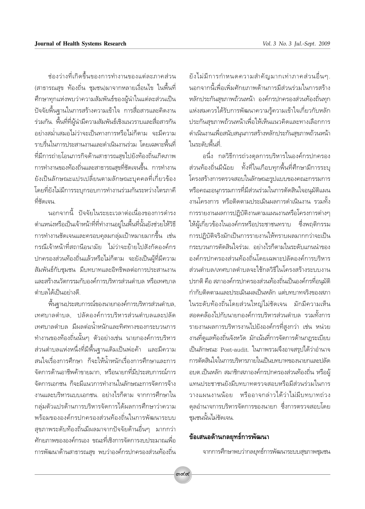ห่องว่างที่เกิดขึ้นของการทำงานของแต่ละภาคส่วน (สาธารณสุข ท้องถิ่น ชุมชน)มาจากหลายเงื่อนไข ในพื้นที่ ้ศึกษาทุกแห่งพบว่าความสัมพันธ์ของผู้นำในแต่ละส่วนเป็น ้ปัจจัยพื้นฐานในการสร้างความเข้าใจ การสื่อสารและคิดงาน ร่วมกัน. พื้นที่ที่ผู้นำมีความสัมพันธ์เชิงแนวราบและสื่อสารกัน ้อย่างสม่ำเสมอไม่ว่าจะเป็นทางการหรือไม่ก็ตาม จะมีความ ราบรื่นในการประสานงานและดำเนินงานร่วม โดยเฉพาะพื้นที่ ที่มีการถ่ายโอนภารกิจด้านสาธารณสุขไปยังท้องถิ่นเกิดภาพ การทำงานของท้องถิ่นและสาธารณสุขที่ชัดเจนขึ้น. การทำงาน ยังเป็นลักษณะแปรเปลี่ยนตามลักษณะบุคคลที่เกี่ยวข้อง โดยที่ยังไม่มีการระบุกรอบการทำงานร่วมกันระหว่างไตรภาคี ที่ชัดเจน.

นอกจากนี้ ปัจจัยในระยะเวลาต่อเนื่องของการดำรง ตำแหน่งหรือเป็นเจ้าหน้าที่ที่ทำงานอยู่ในพื้นที่นั้นยังช่วยให้วิธี ิการทำงานชัดเจนและครอบคุลมกลุ่มเป้าหมายมากขึ้น เช่น กรณีเจ้าหน้าที่สถานีอนามัย ไม่ว่าจะย้ายไปสังกัดองค์กร ปกครองส่วนท้องถิ่นแล้วหรือไม่ก็ตาม จะยังเป็นผู้ที่มีความ สัมพันธ์กับชมชน มีบทบาทและอิทธิพลต่อการประสานงาน และสร้างนวัตกรรมกับองค์การบริหารส่วนตำบล หรือเทศบาล ตำบลได้เป็นอย่างดี

์พื้นฐานประสบการณ์ของนายกองค์การบริหารส่วนตำบล, เทศบาลตำบล. ปลัดองค์การบริหารส่วนตำบลและปลัด เทศบาลตำบล มีผลต่อน้ำหนักและทิศทางของกระบวนการ ทำงานของท้องถิ่นนั้นๆ ตัวอย่างเช่น นายกองค์การบริหาร ้ส่วนตำบลแห่งหนึ่งที่มีพื้นฐานเดิมเป็นพ่อค้า และมีความ สนใจเรื่องการศึกษา ก็จะให้น้ำหนักเรื่องการศึกษาและการ จัดการด้านกาชีพด้าขายมาก หรือนายกที่มีประสบการณ์การ จัดการเอกชน ก็จะมีแนวการทำงานในลักษณะการจัดการจ้าง งานและบริหารแบบเอกชน. อย่างไรก็ตาม จากการศึกษาใน กลุ่มตัวแปรด้านการบริหารจัดการได้ผลการศึกษาว่าความ พร้อมขององค์กรปกครองส่วนท้องถิ่นในการพัฒนาระบบ สุขภาพระดับท้องถิ่นมีผลมาจากปัจจัยด้านอื่นๆ มากกว่า ์ศักยภาพขององค์กรเอง ขณะที่เชิงการจัดการงบประมาณเพื่อ การพัฒนาด้านสาธารณสุข พบว่าองค์กรปกครองส่วนท้องถิ่น

ยังไม่มีการกำหนดความสำคัญมากเท่าภาคส่วนอื่นๆ. ้นอกจากนี้เพื่อเพิ่มศักยภาพด้านการมีส่วนร่วมในการสร้าง หลักประกันสุขภาพถ้วนหน้า องค์กรปกครองส่วนท้องถิ่นทุก แห่งสมควรได้รับการพัฒนาความรู้ความเข้าใจเกี่ยวกับหลัก ประกันสุขภาพถ้วนหน้าเพื่อให้เห็นแนวคิดและทางเลือกการ ้ดำเนินงานเพื่อสนับสนุนการสร้างหลักประกันสุขภาพถ้วนหน้า ในระดับพื้นที่

้อนึ่ง กลวิธีการถ่วงดุลการบริหารในองค์กรปกครอง ส่วนท้องถิ่นมีน้อย ทั้งที่ในเกือบทกพื้นที่ศึกษามีการระบ โครงสร้างการตรวจสอบในลักษณะรูปแบบของคณะกรรมการ หรือคณะอนุกรรมการที่มีส่วนร่วมในการตัดสินใจอนุมัติแผน งานโครงการ หรือติดตามประเมินผลการดำเนินงาน รวมทั้ง การรายงานผลการปฏิบัติงานตามแผนงานหรือโครงการต่างๆ ให้ผู้เกี่ยวข้องในองค์กรหรือประชาชนทราบ ซึ่งพฤติกรรม การปฏิบัติจริงมักเป็นการรายงานให้ทราบผลมากกว่าจะเป็น กระบวนการตัดสินใจร่วม อย่างไรก็ตามในระดับแกนนำของ องค์กรปกครองส่วนท้องถิ่นโดยเฉพาะปลัดองค์การบริหาร ส่วนตำบล/เทศบาลตำบลจะใช้กลวิธีในโครงสร้างระบบงาน ปรกติ คือ สภาองค์กรปกครองส่วนท้องถิ่นเป็นองค์กรที่อนมัติ กำกับติดตามและประเมินผลเป็นหลัก แต่บทบาทจริงของสภา ในระดับท้องถิ่นโดยส่วนใหญ่ไม่ชัดเจน มักมีความเห็น สอดคล้องไปกับนายกองค์การบริหารส่วนตำบล รวมทั้งการ รายงานผลการบริหารงานไปยังองค์กรที่สูงกว่า เช่น หน่วย งานที่ดูแลท้องถิ่นจังหวัด มักเน้นที่การจัดการด้านกฎระเบียบ เป็นลักษณะ Post-audit. ในภาพรวมจึงอาจสรุปได้ว่าอำนาจ การตัดสินใจในการบริหารภายในเป็นบทบาทของนายกและปลัด อบต.เป็นหลัก สมาชิกสภาองค์กรปกครองส่วนท้องถิ่น หรือผ้ แทนประชาชนยังมีบทบาทตรวจสอบหรือมีส่วนร่วมในการ วางแผนงานน้อย หรืออาจกล่าวได้ว่าไม่มีบทบาทถ่วง ดุลอำนาจการบริหารจัดการของนายก ซึ่งการตรวจสอบโดย ชุมชนนั้นไม่ชัดเจน.

#### ข้อเสนอด้านกลยุทธ์การพัฒนา

จากการศึกษาพบว่ากลยุทธ์การพัฒนาระบบสุขภาพชุมชน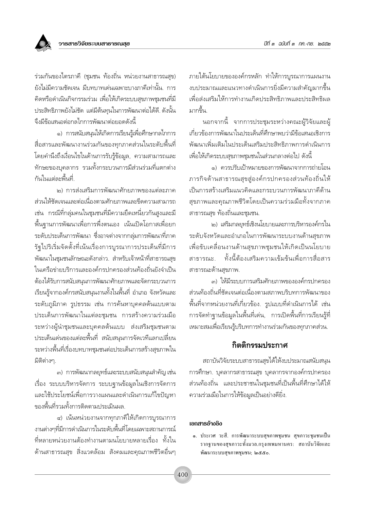ร่วมกันของไตรภาคี (ชุมชน ท้องถิ่น หน่วยงานสาธารณสุข) ยังไม่มีความชัดเจน มีบทบาทเด่นเฉพาะบางภาคีเท่านั้น. การ ้คิดหรือดำเนินกิจกรรมร่วม เพื่อให้เกิดระบบสุขภาพชุมชนที่มี ประสิทธิภาพยังไม่ชัด แต่มีต้นทุนในการพัฒนาต่อได้ดี. ดังนั้น จึงมีข้อเสนอต่อกลไกการพัฒนาต่อยอดดังนี้

๑) การสนับสนุนให้เกิดการเรียนรู้เพื่อศึกษากลไกการ สื่อสารและพัฒนางานร่วมกันของทุกภาคส่วนในระดับพื้นที่ โดยคำนึงถึงเงื่อนไขในด้านการรับรู้ข้อมูล, ความสามารถและ ทักษะของบคลากร รวมทั้งกระบวนการมีส่วนร่วมที่แตกต่าง กันในแต่ละพื้นที่

๒) การส่งเสริมการพัฒนาศักยภาพของแต่ละภาค ส่วนให้ชัดเจนและต่อเนื่องตามศักยภาพและขีดความสามารถ เช่น กรณีที่กลุ่มคนในชุมชนที่มีความยึดเหนี่ยวกันสูงและมี ์พื้นฐานการพัฒนาเพื่อการพึ่งตนเอง เน้นเปิดโอกาสเพื่อยก ระดับประเด็นการพัฒนา ซึ่งอาจต่างจากกลุ่มการพัฒนาที่ภาค รัฐไปริเริ่มจัดตั้งที่เน้นเรื่องการบูรณาการประเด็นที่มีการ พัฒนาในชุมชนลักษณะดังกล่าว. สำหรับเจ้าหน้าที่สาธารณสุข ในเครือข่ายบริการและองค์กรปกครองส่วนท้องถิ่นยังจำเป็น ต้องได้รับการสนับสนุนการพัฒนาศักยภาพและจัดกระบวนการ เรียนรู้จากองค์กรสนับสนุนงานทั้งในพื้นที่ อำเภอ จังหวัดและ ระดับภูมิภาค รูปธรรม เช่น การค้นหาบุคคลต้นแบบตาม ประเด็นการพัฒนาในแต่ละชุมชน การสร้างความร่วมมือ ระหว่างผู้นำชุมชนและบุคคลต้นแบบ ส่งเสริมชุมชนตาม ประเด็นเด่นของแต่ละพื้นที่ สนับสนุนการจัดเวทีแลกเปลี่ยน ระหว่างพื้นที่เรื่องบทบาทชุมชนต่อประเด็นการสร้างสุขภาพใน มิติต่างๆ

๓) การพัฒนากลยุทธ์์และระบบสนับสนุนสำคัญ เช่น เรื่อง ระบบบริหารจัดการ ระบบฐานข้อมูลในเชิงการจัดการ และใช้ประโยชน์เพื่อการวางแผนและดำเนินการแก้ไขปัญหา ของพื้นที่รวมทั้งการติดตามประเมินผล

๔) เน้นหน่วยงานจากทุกภาคีให้เกิดการบูรณาการ งานต่างๆที่มีการดำเนินการในระดับพื้นที่โดยเฉพาะสถานการณ์ ู้ที่หลายหน่วยงานต้องทำงานตามนโยบายหลายเรื่อง ทั้งใน ้ด้านสาธารณสุข สิ่งแวดล้อม สังคมและคุณภาพชีวิตอื่นๆ ภายใต้นโยบายขององค์กรหลัก ทำให้การบูรณาการแผนงาน งบประมาณและแนวทางดำเนินการยิ่งมีความสำคัญมากขึ้น เพื่อส่งเสริมให้การทำงานเกิดประสิทธิภาพและประสิทธิผล มากขึ้น

นอกจากนี้ จากการประชุมระหว่างคณะผู้วิจัยและผู้ เกี่ยวข้องการพัฒนาในประเด็นที่ศึกษาพบว่ามีข้อเสนอเชิงการ พัฒนาเพิ่มเติมในประเด็นเสริมประสิทธิภาพการดำเนินการ เพื่อให้เกิดระบบสุขภาพชุมชนในส่วนกลางต่อไป ดังนี้

๑) ควรปรับเป้าหมายของการพัฒนาจากการถ่ายโอน ิภารกิจด้านสาธารณสุขสู่องค์กรปกครองส่วนท้องถิ่นให้ เป็นการสร้างเสริมแนวคิดและกระบวนการพัฒนาภาคีด้าน สุขภาพและคุณภาพชีวิตโดยเป็นความร่วมมื่อทั้งจากภาค สาธารณสุข ท้องถิ่นและชุมชน.

๒) เสริมกลยุทธ์เชิงนโยบายและการบริหารองค์กรใน ระดับจังหวัดและอำเภอในการพัฒนาระบบงานด้านสุขภาพ เพื่อขับเคลื่อนงานด้านสุขภาพชุมชนให้เกิดเป็นนโยบาย ทั้งนี้ต้องเสริมความเข้มข้นเพื่อการสื่อสาร สาธารณะ สาธารณะด้านสขภาพ.

....) ให้มีระบบการเสริมศักยภาพขององค์กรปกครอง ส่วนท้องถิ่นที่ชัดเจนต่อเนื่องตามสภาพบริบทการพัฒนาของ ์พื้นที่จากหน่วยงานที่เกี่ยวข้อง. รูปแบบที่ดำเนินการได้ เช่น การจัดทำฐานข้อมูลในพื้นที่เด่น, การเปิดพื้นที่การเรียนรู้ที่ เหมาะสมเพื่อเรียนรู้บริบทการทำงานร่วมกันของทุกภาคส่วน.

#### กิตติกรรมประกาศ

สถาบันวิจัยระบบสาธารณสุขได้ให้งบประมาณสนับสนุน การศึกษา. บุคลากรสาธารณสุข บุคลากรจากองค์กรปกครอง ส่วนท้องถิ่น และประชาชนในชุมชนที่เป็นพื้นที่ศึกษาได้ให้ ความร่วมมือในการให้ข้อมูลเป็นอย่างดียิ่ง.

#### เอกสารอ้างอิง

๑. ประเวศ วะสี. การพัฒนาระบบสุขภาพชุมชน สุขภาวะชุมชนเป็น รากฐานของสุขภาวะทั้งมวล.กรุงเทพมหานคร: สถาบันวิจัยและ พัฒนาระบบสขภาพชมชน: ๒๕๕๐.